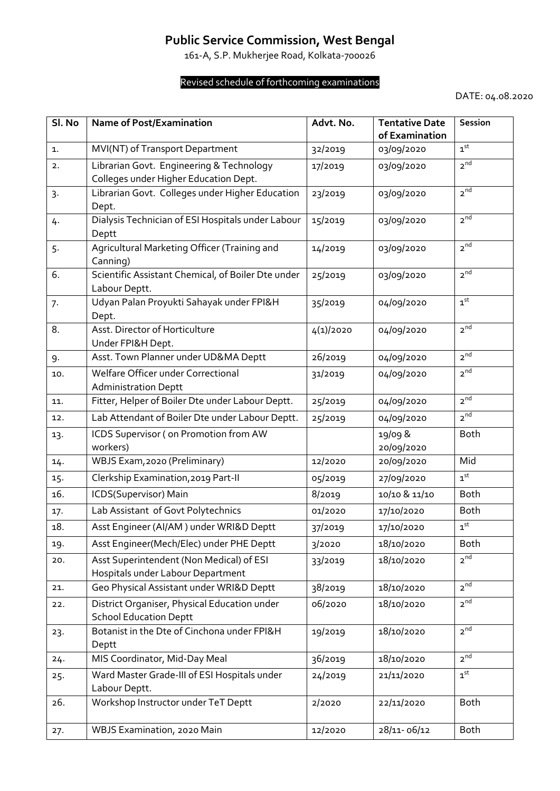## **Public Service Commission, West Bengal**

161-A, S.P. Mukherjee Road, Kolkata-700026

## Revised schedule of forthcoming examinations

DATE: 04.08.2020

| Sl. No | <b>Name of Post/Examination</b>                                                   | Advt. No. | <b>Tentative Date</b><br>of Examination | Session                  |
|--------|-----------------------------------------------------------------------------------|-----------|-----------------------------------------|--------------------------|
| 1.     | MVI(NT) of Transport Department                                                   | 32/2019   | 03/09/2020                              | 1 <sup>st</sup>          |
| 2.     | Librarian Govt. Engineering & Technology<br>Colleges under Higher Education Dept. | 17/2019   | 03/09/2020                              | 2 <sup>nd</sup>          |
| 3.     | Librarian Govt. Colleges under Higher Education<br>Dept.                          | 23/2019   | 03/09/2020                              | 2 <sup>nd</sup>          |
| 4.     | Dialysis Technician of ESI Hospitals under Labour<br>Deptt                        | 15/2019   | 03/09/2020                              | 2 <sup>nd</sup>          |
| 5.     | Agricultural Marketing Officer (Training and<br>Canning)                          | 14/2019   | 03/09/2020                              | 2 <sub>nd</sub>          |
| 6.     | Scientific Assistant Chemical, of Boiler Dte under<br>Labour Deptt.               | 25/2019   | 03/09/2020                              | 2 <sup>nd</sup>          |
| 7.     | Udyan Palan Proyukti Sahayak under FPI&H<br>Dept.                                 | 35/2019   | 04/09/2020                              | 1 <sup>st</sup>          |
| 8.     | Asst. Director of Horticulture<br>Under FPI&H Dept.                               | 4(1)/2020 | 04/09/2020                              | 2 <sup>nd</sup>          |
| 9.     | Asst. Town Planner under UD&MA Deptt                                              | 26/2019   | 04/09/2020                              | 2 <sup>nd</sup>          |
| 10.    | Welfare Officer under Correctional<br><b>Administration Deptt</b>                 | 31/2019   | 04/09/2020                              | 2 <sup>nd</sup>          |
| 11.    | Fitter, Helper of Boiler Dte under Labour Deptt.                                  | 25/2019   | 04/09/2020                              | 2 <sup>nd</sup>          |
| 12.    | Lab Attendant of Boiler Dte under Labour Deptt.                                   | 25/2019   | 04/09/2020                              | 2 <sup>nd</sup>          |
| 13.    | ICDS Supervisor (on Promotion from AW<br>workers)                                 |           | 19/09 &<br>20/09/2020                   | <b>Both</b>              |
| 14.    | WBJS Exam, 2020 (Preliminary)                                                     | 12/2020   | 20/09/2020                              | Mid                      |
| 15.    | Clerkship Examination, 2019 Part-II                                               | 05/2019   | 27/09/2020                              | 1 <sup>st</sup>          |
| 16.    | ICDS(Supervisor) Main                                                             | 8/2019    | 10/10 & 11/10                           | <b>Both</b>              |
| 17.    | Lab Assistant of Govt Polytechnics                                                | 01/2020   | 17/10/2020                              | Both                     |
| 18.    | Asst Engineer (Al/AM) under WRI&D Deptt                                           | 37/2019   | 17/10/2020                              | $\textbf{1}^{\text{st}}$ |
| 19.    | Asst Engineer(Mech/Elec) under PHE Deptt                                          | 3/2020    | 18/10/2020                              | <b>Both</b>              |
| 20.    | Asst Superintendent (Non Medical) of ESI<br>Hospitals under Labour Department     | 33/2019   | 18/10/2020                              | 2 <sup>nd</sup>          |
| 21.    | Geo Physical Assistant under WRI&D Deptt                                          | 38/2019   | 18/10/2020                              | 2 <sup>nd</sup>          |
| 22.    | District Organiser, Physical Education under<br><b>School Education Deptt</b>     | 06/2020   | 18/10/2020                              | 2 <sup>nd</sup>          |
| 23.    | Botanist in the Dte of Cinchona under FPI&H<br>Deptt                              | 19/2019   | 18/10/2020                              | 2 <sup>nd</sup>          |
| 24.    | MIS Coordinator, Mid-Day Meal                                                     | 36/2019   | 18/10/2020                              | 2 <sup>nd</sup>          |
| 25.    | Ward Master Grade-III of ESI Hospitals under<br>Labour Deptt.                     | 24/2019   | 21/11/2020                              | 1 <sup>st</sup>          |
| 26.    | Workshop Instructor under TeT Deptt                                               | 2/2020    | 22/11/2020                              | <b>Both</b>              |
| 27.    | WBJS Examination, 2020 Main                                                       | 12/2020   | 28/11-06/12                             | <b>Both</b>              |